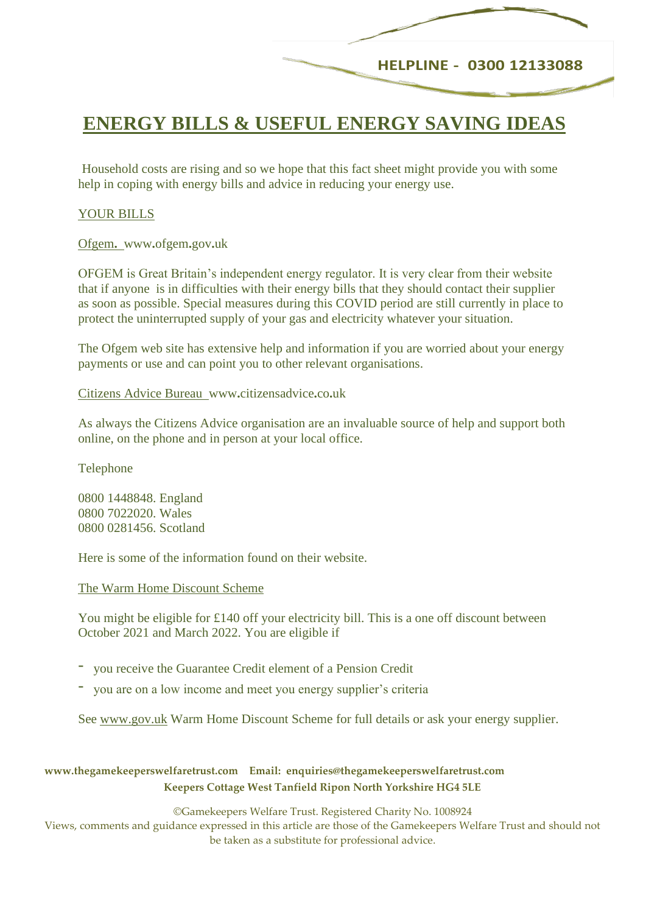# **HELPLINE - 0300 12133088**

# **ENERGY BILLS & USEFUL ENERGY SAVING IDEAS**

Household costs are rising and so we hope that this fact sheet might provide you with some help in coping with energy bills and advice in reducing your energy use.

### YOUR BILLS

Ofgem**.** www**.**ofgem**.**gov**.**uk

OFGEM is Great Britain's independent energy regulator. It is very clear from their website that if anyone is in difficulties with their energy bills that they should contact their supplier as soon as possible. Special measures during this COVID period are still currently in place to protect the uninterrupted supply of your gas and electricity whatever your situation.

The Ofgem web site has extensive help and information if you are worried about your energy payments or use and can point you to other relevant organisations.

Citizens Advice Bureauwww**.**[citizensadvice](http://www.citizensadvice.co.uk/)**.**co**.**uk

As always the Citizens Advice organisation are an invaluable source of help and support both online, on the phone and in person at your local office.

Telephone

0800 1448848. England 0800 7022020. Wales 0800 0281456. Scotland

Here is some of the information found on their website.

The Warm Home Discount Scheme

You might be eligible for £140 off your electricity bill. This is a one off discount between October 2021 and March 2022. You are eligible if

- you receive the Guarantee Credit element of a Pension Credit
- you are on a low income and meet you energy supplier's criteria

See [www.gov.uk](http://www.gov.uk/) Warm Home Discount Scheme for full details or ask your energy supplier.

**www.thegamekeeperswelfaretrust.com Email: enquiries@thegamekeeperswelfaretrust.com Keepers Cottage West Tanfield Ripon North Yorkshire HG4 5LE**

©Gamekeepers Welfare Trust. Registered Charity No. 1008924

Views, comments and guidance expressed in this article are those of the Gamekeepers Welfare Trust and should not be taken as a substitute for professional advice.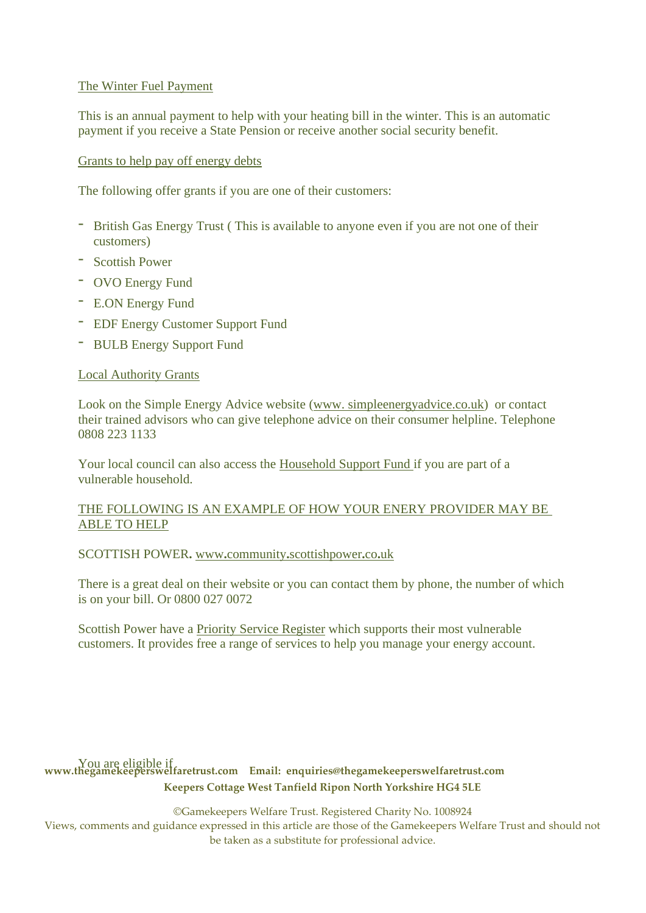# The Winter Fuel Payment

This is an annual payment to help with your heating bill in the winter. This is an automatic payment if you receive a State Pension or receive another social security benefit.

# Grants to help pay off energy debts

The following offer grants if you are one of their customers:

- British Gas Energy Trust ( This is available to anyone even if you are not one of their customers)
- Scottish Power
- OVO Energy Fund
- E.ON Energy Fund
- EDF Energy Customer Support Fund
- BULB Energy Support Fund

### Local Authority Grants

Look on the Simple Energy Advice website (www. simpleenerg[yadvice.co.uk\)](http://advice.co.uk/) or contact their trained advisors who can give telephone advice on their consumer helpline. Telephone 0808 223 1133

Your local council can also access the Household Support Fund if you are part of a vulnerable household.

### THE FOLLOWING IS AN EXAMPLE OF HOW YOUR ENERY PROVIDER MAY BE ABLE TO HELP

SCOTTISH POWER**.** www**.**community**.**[scottishpower](http://www.community.scottishpower.co.uk/)**.**co**.**uk

There is a great deal on their website or you can contact them by phone, the number of which is on your bill. Or 0800 027 0072

Scottish Power have a Priority Service Register which supports their most vulnerable customers. It provides free a range of services to help you manage your energy account.

# **www.thegamekeeperswelfaretrust.com Email: enquiries@thegamekeeperswelfaretrust.com** You are eligible if**Keepers Cottage West Tanfield Ripon North Yorkshire HG4 5LE**

©Gamekeepers Welfare Trust. Registered Charity No. 1008924

Views, comments and guidance expressed in this article are those of the Gamekeepers Welfare Trust and should not be taken as a substitute for professional advice.